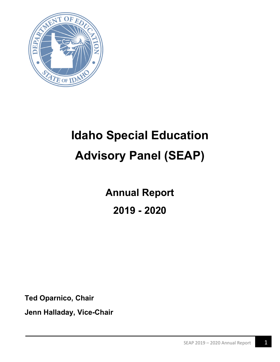

# **Idaho Special Education Advisory Panel (SEAP)**

**Annual Report 2019 - 2020**

**Ted Oparnico, Chair**

**Jenn Halladay, Vice-Chair**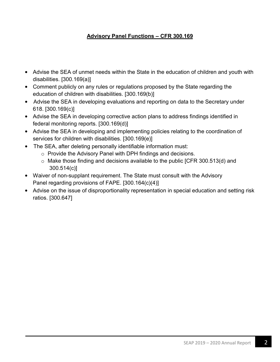#### **Advisory Panel Functions – CFR 300.169**

- Advise the SEA of unmet needs within the State in the education of children and youth with disabilities. [300.169(a)]
- Comment publicly on any rules or regulations proposed by the State regarding the education of children with disabilities. [300.169(b)]
- Advise the SEA in developing evaluations and reporting on data to the Secretary under 618. [300.169(c)]
- Advise the SEA in developing corrective action plans to address findings identified in federal monitoring reports. [300.169(d)]
- Advise the SEA in developing and implementing policies relating to the coordination of services for children with disabilities. [300.169(e)]
- The SEA, after deleting personally identifiable information must:
	- o Provide the Advisory Panel with DPH findings and decisions.
	- $\circ$  Make those finding and decisions available to the public [CFR 300.513(d) and 300.514(c)]
- Waiver of non-supplant requirement. The State must consult with the Advisory Panel regarding provisions of FAPE. [300.164(c)(4)]
- Advise on the issue of disproportionality representation in special education and setting risk ratios. [300.647]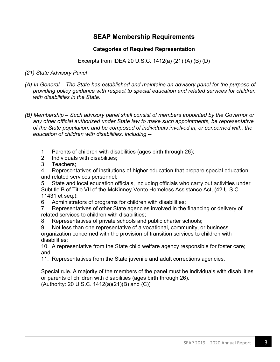#### **SEAP Membership Requirements**

#### **Categories of Required Representation**

Excerpts from IDEA 20 U.S.C. 1412(a) (21) (A) (B) (D)

- *(21) State Advisory Panel –*
- *(A) In General – The State has established and maintains an advisory panel for the purpose of providing policy guidance with respect to special education and related services for children with disabilities in the State.*
- *(B) Membership – Such advisory panel shall consist of members appointed by the Governor or any other official authorized under State law to make such appointments, be representative of the State population, and be composed of individuals involved in, or concerned with, the education of children with disabilities, including --*
	- 1. Parents of children with disabilities (ages birth through 26);
	- 2. Individuals with disabilities;
	- 3. Teachers;

4. Representatives of institutions of higher education that prepare special education and related services personnel;

5. State and local education officials, including officials who carry out activities under Subtitle B of Title VII of the McKinney-Vento Homeless Assistance Act, (42 U.S.C. 11431 et seq.);

6. Administrators of programs for children with disabilities;

7. Representatives of other State agencies involved in the financing or delivery of related services to children with disabilities;

- 8. Representatives of private schools and public charter schools;
- 9. Not less than one representative of a vocational, community, or business organization concerned with the provision of transition services to children with disabilities;

10. A representative from the State child welfare agency responsible for foster care; and

11. Representatives from the State juvenile and adult corrections agencies.

Special rule. A majority of the members of the panel must be individuals with disabilities or parents of children with disabilities (ages birth through 26). (Authority: 20 U.S.C. 1412(a)(21)(B) and (C))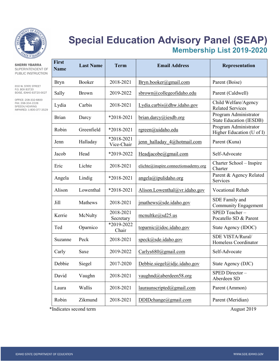

# **Special Education Advisory Panel (SEAP) Membership List 2019-2020**

| <b>SHERRI YBARRA</b><br>SUPERINTENDENT OF<br>PUBLIC INSTRUCTION                                                                      | <b>First</b><br><b>Name</b> | <b>Last Name</b> | <b>Term</b>              | <b>Email Address</b>                 | Representation                                     |
|--------------------------------------------------------------------------------------------------------------------------------------|-----------------------------|------------------|--------------------------|--------------------------------------|----------------------------------------------------|
| 650 W. STATE STREET                                                                                                                  | <b>Bryn</b>                 | Booker           | 2018-2021                | Bryn.booker@gmail.com                | Parent (Boise)                                     |
| P.O. BOX 83720<br>BOISE, IDAHO 83720-0027<br>OFFICE: 208-332-6800<br>FAX: 208-334-2228<br>SPEECH/HEARING<br>IMPAIRED: 1-800-377-3529 | Sally                       | <b>Brown</b>     | 2019-2022                | sbrown@collegeofidaho.edu            | Parent (Caldwell)                                  |
|                                                                                                                                      | Lydia                       | Carbis           | 2018-2021                | Lydia.carbis@dhw.idaho.gov           | Child Welfare/Agency<br><b>Related Services</b>    |
|                                                                                                                                      | <b>Brian</b>                | Darcy            | *2018-2021               | brian.darcy@iesdb.org                | Program Administrator<br>State Education (IESDB)   |
|                                                                                                                                      | Robin                       | Greenfield       | *2018-2021               | rgreen@uidaho.edu                    | Program Administrator<br>Higher Education (U of I) |
|                                                                                                                                      | Jenn                        | Halladay         | *2018-2021<br>Vice-Chair | jenn halladay 4@hotmail.com          | Parent (Kuna)                                      |
|                                                                                                                                      | Jacob                       | Head             | *2019-2022               | Headjacobe@gmail.com                 | Self-Advocate                                      |
|                                                                                                                                      | Eric                        | Lichte           | 2018-2021                | elichte@inspire.connectionsademy.org | Charter School - Inspire<br>Charter                |
|                                                                                                                                      | Angela                      | Lindig           | *2018-2021               | $angle(a)$ ipulidaho.org             | Parent & Agency Related<br>Services                |
|                                                                                                                                      | Alison                      | Lowenthal        | *2018-2021               | Alison.Lowenthal@vr.idaho.gov        | <b>Vocational Rehab</b>                            |
|                                                                                                                                      | Jill                        | Mathews          | 2018-2021                | jmathews@sde.idaho.gov               | SDE Family and<br><b>Community Engagement</b>      |
|                                                                                                                                      | Kerrie                      | McNulty          | 2018-2021<br>Secretary   | $m$ cnultke@sd25.us                  | SPED Teacher-<br>Pocatello SD & Parent             |
|                                                                                                                                      | Ted                         | Oparnico         | *2019-2022<br>Chair      | toparnic@idoc.idaho.gov              | State Agency (IDOC)                                |
|                                                                                                                                      | Suzanne                     | Peck             | 2018-2021                | speck@sde.idaho.gov                  | SDE VISTA/Rural/<br>Homeless Coordinator           |
|                                                                                                                                      | Carly                       | Saxe             | 2019-2022                | Carlys680@gmail.com                  | Self-Advocate                                      |
|                                                                                                                                      | Debbie                      | Siegel           | 2017-2020                | Debbie.siegel@idjc.idaho.gov         | State Agency (DJC)                                 |
|                                                                                                                                      | David                       | Vaughn           | 2018-2021                | vaughnd@aberdeen58.org               | SPED Director-<br>Aberdeen SD                      |
|                                                                                                                                      | Laura                       | Wallis           | 2018-2021                | lauraunscribed@gmail.com             | Parent (Ammon)                                     |
|                                                                                                                                      | Robin                       | Zikmund          | 2018-2021                | DDIDchange@gmail.com                 | Parent (Meridian)                                  |

\*Indicates second term August 2019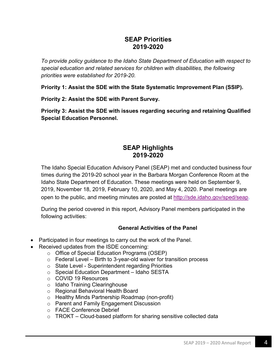#### **SEAP Priorities 2019-2020**

*To provide policy guidance to the Idaho State Department of Education with respect to special education and related services for children with disabilities, the following priorities were established for 2019-20.*

**Priority 1: Assist the SDE with the State Systematic Improvement Plan (SSIP).** 

**Priority 2: Assist the SDE with Parent Survey.**

**Priority 3: Assist the SDE with issues regarding securing and retaining Qualified Special Education Personnel.**

#### **SEAP Highlights 2019-2020**

The Idaho Special Education Advisory Panel (SEAP) met and conducted business four times during the 2019-20 school year in the Barbara Morgan Conference Room at the Idaho State Department of Education. These meetings were held on September 9, 2019, November 18, 2019, February 10, 2020, and May 4, 2020. Panel meetings are open to the public, and meeting minutes are posted at [http://sde.idaho.gov/sped/seap.](http://sde.idaho.gov/sped/seap)

During the period covered in this report, Advisory Panel members participated in the following activities:

#### **General Activities of the Panel**

- Participated in four meetings to carry out the work of the Panel.
- Received updates from the ISDE concerning:
	- o Office of Special Education Programs (OSEP)
	- $\circ$  Federal Level Birth to 3-year-old waiver for transition process
	- o State Level Superintendent regarding Priorities
	- o Special Education Department Idaho SESTA
	- o COVID 19 Resources
	- o Idaho Training Clearinghouse
	- o Regional Behavioral Health Board
	- o Healthy Minds Partnership Roadmap (non-profit)
	- o Parent and Family Engagement Discussion
	- o FACE Conference Debrief
	- $\circ$  TROKT Cloud-based platform for sharing sensitive collected data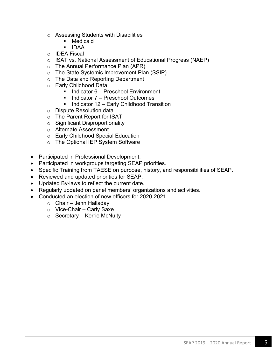- Assessing Students with Disabilities<br>■ Medicaid
	- Medicaid
	- IDAA
- o IDEA Fiscal
- o ISAT vs. National Assessment of Educational Progress (NAEP)
- o The Annual Performance Plan (APR)
- o The State Systemic Improvement Plan (SSIP)
- o The Data and Reporting Department
- o Early Childhood Data
	- $\blacksquare$  Indicator 6 Preschool Environment
	- Indicator 7 Preschool Outcomes
	- $\blacksquare$  Indicator 12 Early Childhood Transition
- o Dispute Resolution data
- o The Parent Report for ISAT
- o Significant Disproportionality
- o Alternate Assessment
- o Early Childhood Special Education
- o The Optional IEP System Software
- Participated in Professional Development.
- Participated in workgroups targeting SEAP priorities.
- Specific Training from TAESE on purpose, history, and responsibilities of SEAP.
- Reviewed and updated priorities for SEAP.
- Updated By-laws to reflect the current date.
- Regularly updated on panel members' organizations and activities.
- Conducted an election of new officers for 2020-2021
	- $\circ$  Chair Jenn Halladay
	- o Vice-Chair Carly Saxe
	- o Secretary Kerrie McNulty